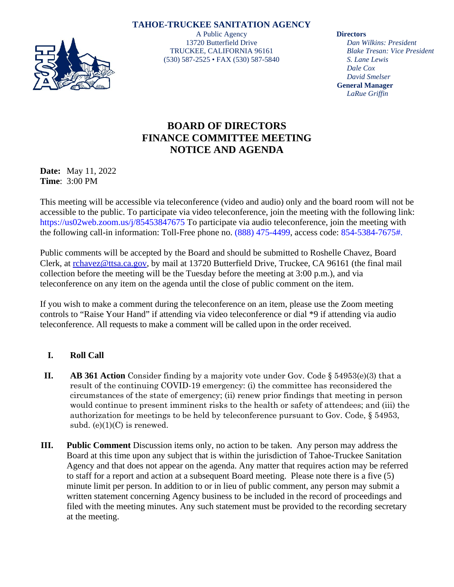

**TAHOE-TRUCKEE SANITATION AGENCY** A Public Agency 13720 Butterfield Drive TRUCKEE, CALIFORNIA 96161 (530) 587-2525 • FAX (530) 587-5840

**Directors**

*Dan Wilkins: President Blake Tresan: Vice President S. Lane Lewis Dale Cox David Smelser* **General Manager** *LaRue Griffin*

## **BOARD OF DIRECTORS FINANCE COMMITTEE MEETING NOTICE AND AGENDA**

**Date:** May 11, 2022 **Time**: 3:00 PM

This meeting will be accessible via teleconference (video and audio) only and the board room will not be accessible to the public. To participate via video teleconference, join the meeting with the following link: https://us02web.zoom.us/j/85453847675 To participate via audio teleconference, join the meeting with the following call-in information: Toll-Free phone no. (888) 475-4499, access code: 854-5384-7675#.

Public comments will be accepted by the Board and should be submitted to Roshelle Chavez, Board Clerk, at [rchavez@ttsa.ca.gov,](mailto:rchavez@ttsa.ca.gov) by mail at 13720 Butterfield Drive, Truckee, CA 96161 (the final mail collection before the meeting will be the Tuesday before the meeting at 3:00 p.m.), and via teleconference on any item on the agenda until the close of public comment on the item.

If you wish to make a comment during the teleconference on an item, please use the Zoom meeting controls to "Raise Your Hand" if attending via video teleconference or dial \*9 if attending via audio teleconference. All requests to make a comment will be called upon in the order received.

## **I. Roll Call**

- **II. AB 361 Action** Consider finding by a majority vote under Gov. Code § 54953(e)(3) that a result of the continuing COVID-19 emergency: (i) the committee has reconsidered the circumstances of the state of emergency; (ii) renew prior findings that meeting in person would continue to present imminent risks to the health or safety of attendees; and (iii) the authorization for meetings to be held by teleconference pursuant to Gov. Code, § 54953, subd.  $(e)(1)(C)$  is renewed.
- **III. Public Comment** Discussion items only, no action to be taken. Any person may address the Board at this time upon any subject that is within the jurisdiction of Tahoe-Truckee Sanitation Agency and that does not appear on the agenda. Any matter that requires action may be referred to staff for a report and action at a subsequent Board meeting. Please note there is a five (5) minute limit per person. In addition to or in lieu of public comment, any person may submit a written statement concerning Agency business to be included in the record of proceedings and filed with the meeting minutes. Any such statement must be provided to the recording secretary at the meeting.